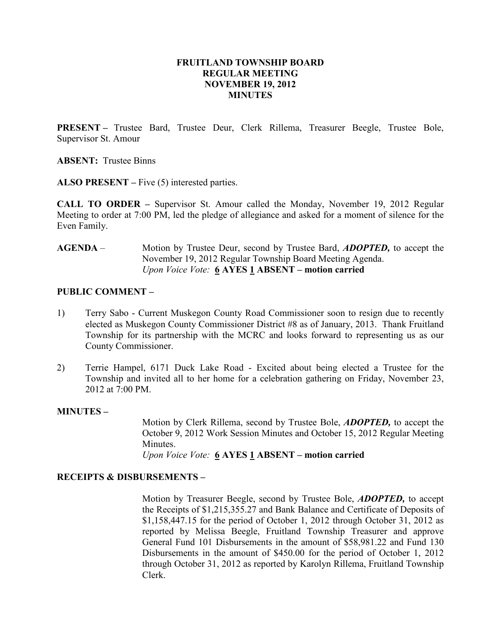## FRUITLAND TOWNSHIP BOARD REGULAR MEETING NOVEMBER 19, 2012 MINUTES

PRESENT – Trustee Bard, Trustee Deur, Clerk Rillema, Treasurer Beegle, Trustee Bole, Supervisor St. Amour

ABSENT: Trustee Binns

ALSO PRESENT – Five (5) interested parties.

CALL TO ORDER – Supervisor St. Amour called the Monday, November 19, 2012 Regular Meeting to order at 7:00 PM, led the pledge of allegiance and asked for a moment of silence for the Even Family.

AGENDA – Motion by Trustee Deur, second by Trustee Bard, *ADOPTED*, to accept the November 19, 2012 Regular Township Board Meeting Agenda. Upon Voice Vote:  $6$  AYES 1 ABSENT – motion carried

## PUBLIC COMMENT –

- 1) Terry Sabo Current Muskegon County Road Commissioner soon to resign due to recently elected as Muskegon County Commissioner District #8 as of January, 2013. Thank Fruitland Township for its partnership with the MCRC and looks forward to representing us as our County Commissioner.
- 2) Terrie Hampel, 6171 Duck Lake Road Excited about being elected a Trustee for the Township and invited all to her home for a celebration gathering on Friday, November 23, 2012 at 7:00 PM.

#### MINUTES –

Motion by Clerk Rillema, second by Trustee Bole, ADOPTED, to accept the October 9, 2012 Work Session Minutes and October 15, 2012 Regular Meeting **Minutes** 

Upon Voice Vote:  $6$  AYES 1 ABSENT – motion carried

#### RECEIPTS & DISBURSEMENTS –

Motion by Treasurer Beegle, second by Trustee Bole, ADOPTED, to accept the Receipts of \$1,215,355.27 and Bank Balance and Certificate of Deposits of \$1,158,447.15 for the period of October 1, 2012 through October 31, 2012 as reported by Melissa Beegle, Fruitland Township Treasurer and approve General Fund 101 Disbursements in the amount of \$58,981.22 and Fund 130 Disbursements in the amount of \$450.00 for the period of October 1, 2012 through October 31, 2012 as reported by Karolyn Rillema, Fruitland Township Clerk.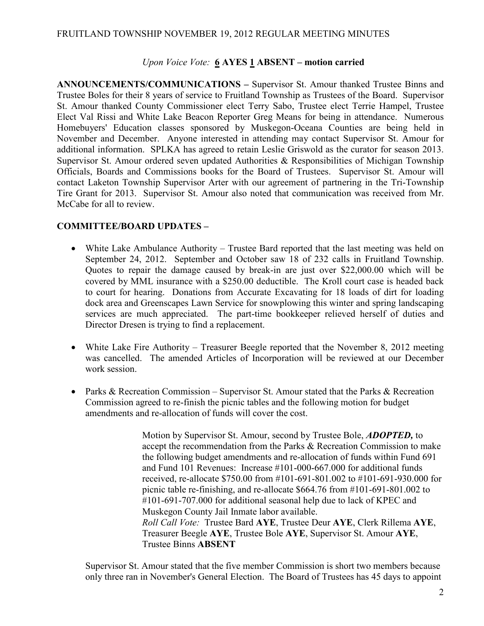#### FRUITLAND TOWNSHIP NOVEMBER 19, 2012 REGULAR MEETING MINUTES

#### Upon Voice Vote: 6 AYES 1 ABSENT – motion carried

ANNOUNCEMENTS/COMMUNICATIONS – Supervisor St. Amour thanked Trustee Binns and Trustee Boles for their 8 years of service to Fruitland Township as Trustees of the Board. Supervisor St. Amour thanked County Commissioner elect Terry Sabo, Trustee elect Terrie Hampel, Trustee Elect Val Rissi and White Lake Beacon Reporter Greg Means for being in attendance. Numerous Homebuyers' Education classes sponsored by Muskegon-Oceana Counties are being held in November and December. Anyone interested in attending may contact Supervisor St. Amour for additional information. SPLKA has agreed to retain Leslie Griswold as the curator for season 2013. Supervisor St. Amour ordered seven updated Authorities & Responsibilities of Michigan Township Officials, Boards and Commissions books for the Board of Trustees. Supervisor St. Amour will contact Laketon Township Supervisor Arter with our agreement of partnering in the Tri-Township Tire Grant for 2013. Supervisor St. Amour also noted that communication was received from Mr. McCabe for all to review.

## COMMITTEE/BOARD UPDATES –

- White Lake Ambulance Authority Trustee Bard reported that the last meeting was held on September 24, 2012. September and October saw 18 of 232 calls in Fruitland Township. Quotes to repair the damage caused by break-in are just over \$22,000.00 which will be covered by MML insurance with a \$250.00 deductible. The Kroll court case is headed back to court for hearing. Donations from Accurate Excavating for 18 loads of dirt for loading dock area and Greenscapes Lawn Service for snowplowing this winter and spring landscaping services are much appreciated. The part-time bookkeeper relieved herself of duties and Director Dresen is trying to find a replacement.
- White Lake Fire Authority Treasurer Beegle reported that the November 8, 2012 meeting was cancelled. The amended Articles of Incorporation will be reviewed at our December work session.
- Parks & Recreation Commission Supervisor St. Amour stated that the Parks & Recreation Commission agreed to re-finish the picnic tables and the following motion for budget amendments and re-allocation of funds will cover the cost.

Motion by Supervisor St. Amour, second by Trustee Bole, **ADOPTED**, to accept the recommendation from the Parks & Recreation Commission to make the following budget amendments and re-allocation of funds within Fund 691 and Fund 101 Revenues: Increase #101-000-667.000 for additional funds received, re-allocate \$750.00 from #101-691-801.002 to #101-691-930.000 for picnic table re-finishing, and re-allocate \$664.76 from #101-691-801.002 to #101-691-707.000 for additional seasonal help due to lack of KPEC and Muskegon County Jail Inmate labor available. Roll Call Vote: Trustee Bard AYE, Trustee Deur AYE, Clerk Rillema AYE, Treasurer Beegle AYE, Trustee Bole AYE, Supervisor St. Amour AYE, Trustee Binns ABSENT

Supervisor St. Amour stated that the five member Commission is short two members because only three ran in November's General Election. The Board of Trustees has 45 days to appoint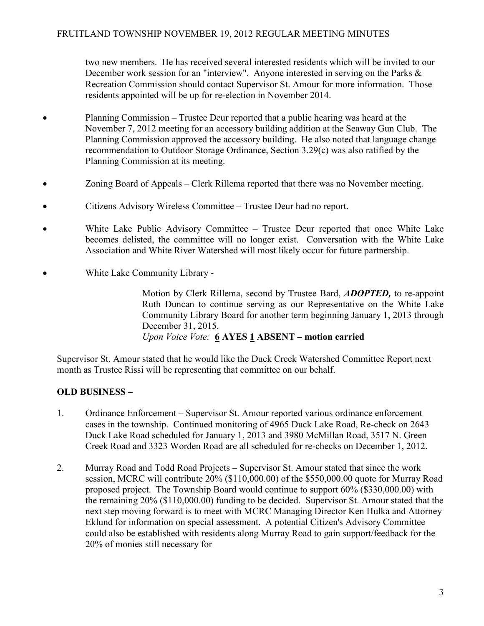two new members. He has received several interested residents which will be invited to our December work session for an "interview". Anyone interested in serving on the Parks & Recreation Commission should contact Supervisor St. Amour for more information. Those residents appointed will be up for re-election in November 2014.

- Planning Commission Trustee Deur reported that a public hearing was heard at the November 7, 2012 meeting for an accessory building addition at the Seaway Gun Club. The Planning Commission approved the accessory building. He also noted that language change recommendation to Outdoor Storage Ordinance, Section 3.29(c) was also ratified by the Planning Commission at its meeting.
- Zoning Board of Appeals Clerk Rillema reported that there was no November meeting.
- Citizens Advisory Wireless Committee Trustee Deur had no report.
- White Lake Public Advisory Committee Trustee Deur reported that once White Lake becomes delisted, the committee will no longer exist. Conversation with the White Lake Association and White River Watershed will most likely occur for future partnership.
- White Lake Community Library -

Motion by Clerk Rillema, second by Trustee Bard, ADOPTED, to re-appoint Ruth Duncan to continue serving as our Representative on the White Lake Community Library Board for another term beginning January 1, 2013 through December 31, 2015. Upon Voice Vote:  $6$  AYES 1 ABSENT – motion carried

Supervisor St. Amour stated that he would like the Duck Creek Watershed Committee Report next month as Trustee Rissi will be representing that committee on our behalf.

# OLD BUSINESS –

- 1. Ordinance Enforcement Supervisor St. Amour reported various ordinance enforcement cases in the township. Continued monitoring of 4965 Duck Lake Road, Re-check on 2643 Duck Lake Road scheduled for January 1, 2013 and 3980 McMillan Road, 3517 N. Green Creek Road and 3323 Worden Road are all scheduled for re-checks on December 1, 2012.
- 2. Murray Road and Todd Road Projects Supervisor St. Amour stated that since the work session, MCRC will contribute 20% (\$110,000.00) of the \$550,000.00 quote for Murray Road proposed project. The Township Board would continue to support 60% (\$330,000.00) with the remaining 20% (\$110,000.00) funding to be decided. Supervisor St. Amour stated that the next step moving forward is to meet with MCRC Managing Director Ken Hulka and Attorney Eklund for information on special assessment. A potential Citizen's Advisory Committee could also be established with residents along Murray Road to gain support/feedback for the 20% of monies still necessary for